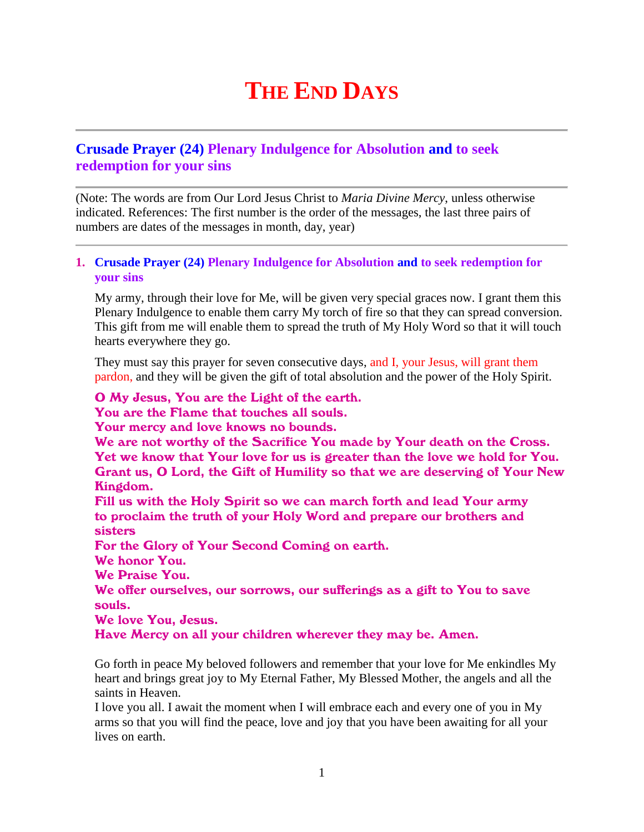# **THE END DAYS**

## **Crusade Prayer (24) Plenary Indulgence for Absolution and to seek redemption for your sins**

(Note: The words are from Our Lord Jesus Christ to *Maria Divine Mercy*, unless otherwise indicated. References: The first number is the order of the messages, the last three pairs of numbers are dates of the messages in month, day, year)

#### **1. Crusade Prayer (24) Plenary Indulgence for Absolution and to seek redemption for your sins**

My army, through their love for Me, will be given very special graces now. I grant them this Plenary Indulgence to enable them carry My torch of fire so that they can spread conversion. This gift from me will enable them to spread the truth of My Holy Word so that it will touch hearts everywhere they go.

They must say this prayer for seven consecutive days, and I, your Jesus, will grant them pardon, and they will be given the gift of total absolution and the power of the Holy Spirit.

### O My Jesus, You are the Light of the earth.

You are the Flame that touches all souls.

Your mercy and love knows no bounds.

We are not worthy of the Sacrifice You made by Your death on the Cross. Yet we know that Your love for us is greater than the love we hold for You. Grant us, O Lord, the Gift of Humility so that we are deserving of Your New Kingdom.

Fill us with the Holy Spirit so we can march forth and lead Your army to proclaim the truth of your Holy Word and prepare our brothers and sisters

For the Glory of Your Second Coming on earth.

We honor You.

We Praise You.

We offer ourselves, our sorrows, our sufferings as a gift to You to save souls.

We love You, Jesus.

Have Mercy on all your children wherever they may be. Amen.

Go forth in peace My beloved followers and remember that your love for Me enkindles My heart and brings great joy to My Eternal Father, My Blessed Mother, the angels and all the saints in Heaven.

I love you all. I await the moment when I will embrace each and every one of you in My arms so that you will find the peace, love and joy that you have been awaiting for all your lives on earth.